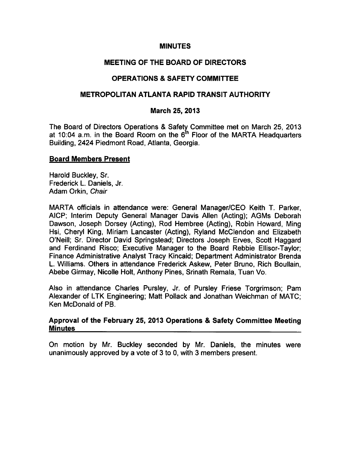#### **MINUTES**

# MEETING OF THE BOARD OF DIRECTORS

# OPERATIONS & SAFETY COMMITTEE

# METROPOLITAN ATLANTA RAPID TRANSIT AUTHORITY

# March 25, 2013

The Board of Directors Operations & Safety Committee met on March 25, 2013 at 10:04 a.m. in the Board Room on the  $6<sup>th</sup>$  Floor of the MARTA Headquarters Building, 2424 Piedmont Road, Atlanta, Georgia.

#### Board Members Present

Harold Buckley, Sr. Frederick L. Daniels, Jr. Adam Orkin, Chair

MARTA officials in attendance were: General Manager/CEO Keith T. Parker, AICP; Interim Deputy General Manager Davis Allen (Acting); AGMs Deborah Dawson, Joseph Dorsey (Acting), Rod Hembree (Acting), Robin Howard, Ming Hsi, Cheryl King, Miriam Lancaster (Acting), Ryiand McCiendon and Elizabeth O'Neill; Sr. Director David Springstead; Directors Joseph Erves, Scott Haggard and Ferdinand Risco; Executive Manager to the Board Rebbie Ellisor-Taylor; Finance Administrative Analyst Tracy Kincaid; Department Administrator Brenda L. Williams. Others in attendance Frederick Askew, Peter Bruno, Rich Boullain, Abebe Girmay, Nicolle Holt, Anthony Pines, Srinath Remala, Tuan Vo.

Also in attendance Charles Pursley, Jr. of Pursley Friese Torgrimson; Pam Alexander of LTK Engineering; Matt Pollack and Jonathan Weichman of MATC; Ken McDonald of PB.

#### Approval of the February 25, 2013 Operations & Safety Committee Meeting **Minutes**

On motion by Mr. Buckley seconded by Mr. Daniels, the minutes were unanimously approved by a vote of 3 to 0, with 3 members present.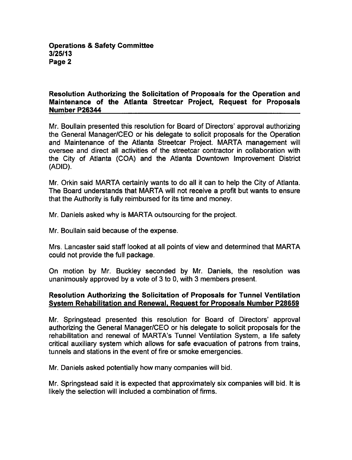# Resolution Authorizing the Solicitation of Proposals for the Operation and Maintenance of the Atlanta Streetcar Project, Request for Proposals Number P26344

Mr. Boullain presented this resolution for Board of Directors' approval authorizing the General Manager/CEO or his delegate to solicit proposals for the Operation and Maintenance of the Atlanta Streetcar Project. MARTA management will oversee and direct all activities of the streetcar contractor in collaboration with the City of Atlanta (COA) and the Atlanta Downtown Improvement District (ADID).

Mr. Orkin said MARTA certainly wants to do all it can to help the City of Atlanta. The Board understands that MARTA will not receive a profit but wants to ensure that the Authority is fully reimbursed for its time and money.

Mr. Daniels asked why is MARTA outsourcing for the project.

Mr. Boullain said because of the expense.

Mrs. Lancaster said staff looked at all points of view and determined that MARTA could not provide the full package.

On motion by Mr. Buckley seconded by Mr. Daniels, the resolution was unanimously approved by a vote of  $3$  to 0, with  $3$  members present.

# Resolution Authorizing the Solicitation of Proposals for Tunnel Ventilation System Rehabilitation and Renewal. Request for Proposals Number P28659

Mr. Springstead presented this resolution for Board of Directors' approval authorizing the General Manager/CEO or his delegate to solicit proposals for the rehabilitation and renewal of MARTA's Tunnel Ventilation System, a life safety critical auxiliary system which allows for safe evacuation of patrons from trains, tunnels and stations in the event of fire or smoke emergencies.

Mr. Daniels asked potentially how many companies will bid.

Mr. Springstead said it is expected that approximately six companies will bid. It is likely the selection will included a combination of firms.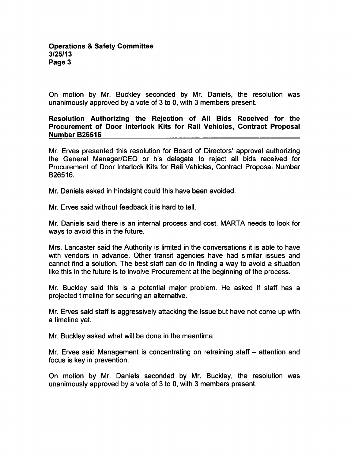On motion by Mr. Buckley seconded by Mr. Daniels, the resolution was unanimously approved by a vote of 3 to 0, with 3 members present.

Resolution Authorizing the Rejection of All Bids Received for the Procurement of Door Interlock Kits for Rail Vehicles, Contract Proposal Number B26516

Mr. Erves presented this resolution for Board of Directors' approval authorizing the General Manager/CEO or his delegate to reject all bids received for Procurement of Door Interlock Kits for Rail Vehicles, Contract Proposal Number B26516.

Mr. Daniels asked in hindsight could this have been avoided.

Mr. Erves said without feedback it is hard to tell.

Mr. Daniels said there is an internal process and cost. MARTA needs to look for ways to avoid this in the future.

Mrs. Lancaster said the Authority is limited in the conversations it is able to have with vendors in advance. Other transit agencies have had similar issues and cannot find a solution. The best staff can do in finding a way to avoid a situation like this in the future is to involve Procurement at the beginning of the process.

Mr. Buckley said this is a potential major problem. He asked if staff has a projected timeline for securing an alternative.

Mr. Erves said staff is aggressively attacking the issue but have not come up with a timeline yet.

Mr. Buckley asked what will be done in the meantime.

Mr. Erves said Management is concentrating on retraining staff – attention and focus is key in prevention.

On motion by Mr. Daniels seconded by Mr. Buckley, the resolution was unanimously approved by a vote of 3 to 0, with 3 members present.